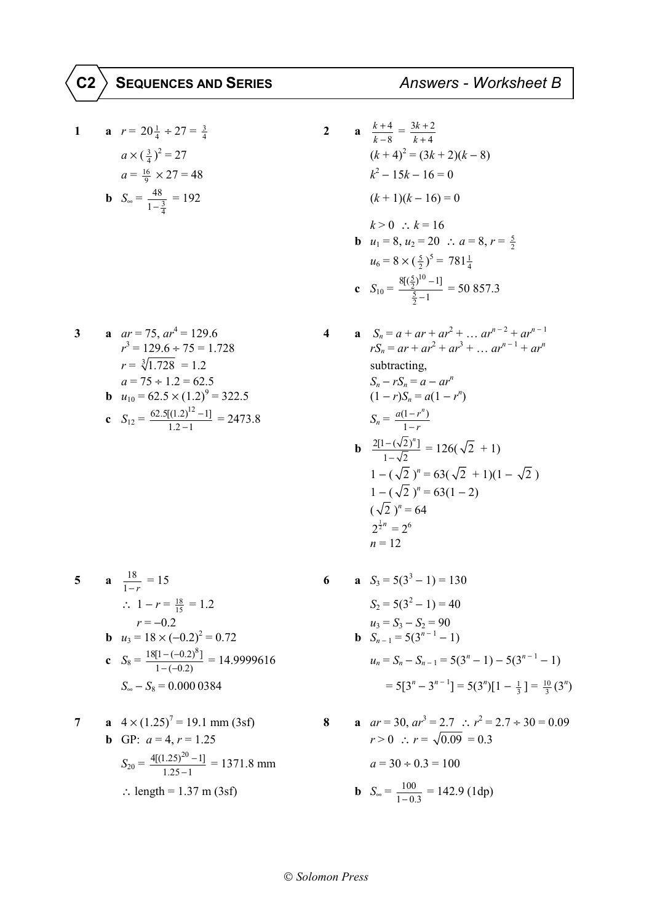1 **a** 
$$
r = 20\frac{1}{4} \div 27 = \frac{3}{4}
$$
  
\n $a \times (\frac{3}{4})^2 = 27$   
\n $a = \frac{16}{9} \times 27 = 48$   
\n**b**  $S_{\infty} = \frac{48}{1 - \frac{3}{4}} = 192$ 

3 **a** 
$$
ar = 75
$$
,  $ar^4 = 129.6$   
\n $r^3 = 129.6 \div 75 = 1.728$   
\n $r = \sqrt[3]{1.728} = 1.2$   
\n $a = 75 \div 1.2 = 62.5$   
\n**b**  $u_{10} = 62.5 \times (1.2)^9 = 322.5$   
\n**c**  $S_{12} = \frac{62.5[(1.2)^{12} - 1]}{1.2 - 1} = 2473.8$ 

5 **a** 
$$
\frac{18}{1-r} = 15
$$
  
\n $\therefore 1 - r = \frac{18}{15} = 1.2$   
\n $r = -0.2$   
\n**b**  $u_3 = 18 \times (-0.2)^2 = 0.72$   
\n**c**  $S_8 = \frac{18[1 - (-0.2)^8]}{1 - (-0.2)} = 14.9999616$   
\n $S_{\infty} - S_8 = 0.0000384$ 

7 **a** 
$$
4 \times (1.25)^7 = 19.1
$$
 mm (3sf)  
\n**b** GP:  $a = 4$ ,  $r = 1.25$   
\n
$$
S_{20} = \frac{4[(1.25)^{20} - 1]}{1.25 - 1} = 1371.8
$$
 mm  
\n∴ length = 1.37 m (3sf)

**a** 
$$
\frac{k+4}{k-8} = \frac{3k+2}{k+4}
$$
  
\n
$$
(k+4)^2 = (3k+2)(k-8)
$$
  
\n
$$
k^2 - 15k - 16 = 0
$$
  
\n
$$
(k+1)(k-16) = 0
$$
  
\n
$$
k > 0 \therefore k = 16
$$
  
\n**b**  $u_1 = 8, u_2 = 20 \therefore a = 8, r = \frac{5}{2}$   
\n $u_6 = 8 \times (\frac{5}{2})^5 = 781\frac{1}{4}$   
\n**c**  $S_{10} = \frac{8[(\frac{5}{2})^{10} - 1]}{\frac{5}{2} - 1} = 50857.3$   
\n**a**  $S_n = a + ar + ar^2 + ... ar^{n-2} +$ 

 $\overline{2}$ 

 $\overline{\mathbf{4}}$ 

 $\boldsymbol{6}$ 

**a** 
$$
S_n = a + ar + ar^2 + ... ar^{n-2} + ar^{n-1}
$$
  
\n $rS_n = ar + ar^2 + ar^3 + ... ar^{n-1} + ar^n$   
\nsubtracting,  
\n $S_n - rS_n = a - ar^n$   
\n $(1 - r)S_n = a(1 - r^n)$   
\n $S_n = \frac{a(1 - r^n)}{1 - r}$   
\n**b**  $\frac{2[1 - (\sqrt{2})^n]}{1 - \sqrt{2}} = 126(\sqrt{2} + 1)$   
\n $1 - (\sqrt{2})^n = 63(\sqrt{2} + 1)(1 - \sqrt{2})$   
\n $1 - (\sqrt{2})^n = 63(1 - 2)$   
\n $(\sqrt{2})^n = 64$   
\n $2^{\frac{1}{2}n} = 2^6$   
\n $n = 12$ 

**a** 
$$
S_3 = 5(3^3 - 1) = 130
$$
  
\n $S_2 = 5(3^2 - 1) = 40$   
\n $u_3 = S_3 - S_2 = 90$   
\n**b**  $S_{n-1} = 5(3^{n-1} - 1)$   
\n $u_n = S_n - S_{n-1} = 5(3^n - 1) - 5(3^{n-1} - 1)$   
\n $= 5[3^n - 3^{n-1}] = 5(3^n)[1 - \frac{1}{3}] = \frac{10}{3}(3^n)$ 

8 **a** 
$$
ar = 30, ar^3 = 2.7 \therefore r^2 = 2.7 \div 30 = 0.09
$$
  
\n $r > 0 \therefore r = \sqrt{0.09} = 0.3$   
\n $a = 30 \div 0.3 = 100$   
\n**b**  $S_{\infty} = \frac{100}{1 - 0.3} = 142.9$  (1dp)